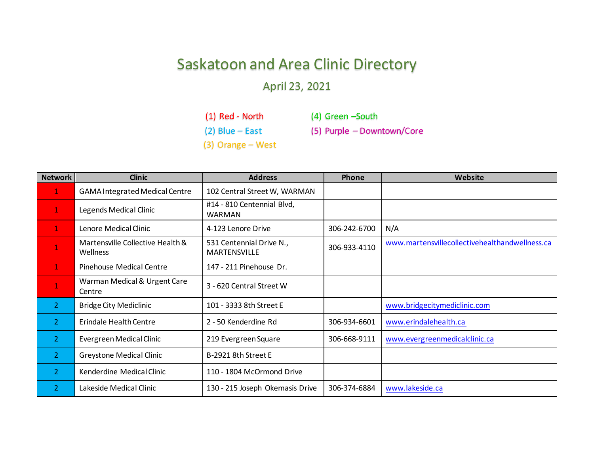## Saskatoon and Area Clinic Directory

## April 23, 2021

(1) Red - North (2) Blue – East

(4) Green –South

(3) Orange – West

(5) Purple – Downtown/Core

| <b>Network</b> | <b>Clinic</b>                                | <b>Address</b>                                  | Phone        | Website                                        |
|----------------|----------------------------------------------|-------------------------------------------------|--------------|------------------------------------------------|
| 1              | <b>GAMA Integrated Medical Centre</b>        | 102 Central Street W, WARMAN                    |              |                                                |
| 1              | Legends Medical Clinic                       | #14 - 810 Centennial Blvd,<br><b>WARMAN</b>     |              |                                                |
| 1              | Lenore Medical Clinic                        | 4-123 Lenore Drive                              | 306-242-6700 | N/A                                            |
| $\mathbf 1$    | Martensville Collective Health &<br>Wellness | 531 Centennial Drive N.,<br><b>MARTENSVILLE</b> | 306-933-4110 | www.martensvillecollectivehealthandwellness.ca |
| 1              | <b>Pinehouse Medical Centre</b>              | 147 - 211 Pinehouse Dr.                         |              |                                                |
| $\mathbf 1$    | Warman Medical & Urgent Care<br>Centre       | 3 - 620 Central Street W                        |              |                                                |
| $\overline{2}$ | <b>Bridge City Mediclinic</b>                | 101 - 3333 8th Street E                         |              | www.bridgecitymediclinic.com                   |
| $\overline{2}$ | <b>Erindale Health Centre</b>                | 2 - 50 Kenderdine Rd                            | 306-934-6601 | www.erindalehealth.ca                          |
| $\overline{2}$ | Evergreen Medical Clinic                     | 219 Evergreen Square                            | 306-668-9111 | www.evergreenmedicalclinic.ca                  |
| $\overline{2}$ | <b>Greystone Medical Clinic</b>              | B-2921 8th Street E                             |              |                                                |
| $\overline{2}$ | Kenderdine Medical Clinic                    | 110 - 1804 McOrmond Drive                       |              |                                                |
| 2              | Lakeside Medical Clinic                      | 130 - 215 Joseph Okemasis Drive                 | 306-374-6884 | www.lakeside.ca                                |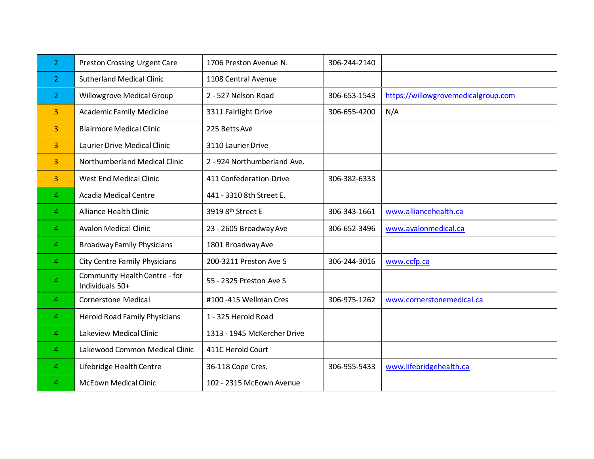| 2              | Preston Crossing Urgent Care                     | 1706 Preston Avenue N.      | 306-244-2140 |                                     |
|----------------|--------------------------------------------------|-----------------------------|--------------|-------------------------------------|
| $\overline{2}$ | <b>Sutherland Medical Clinic</b>                 | 1108 Central Avenue         |              |                                     |
| 2              | <b>Willowgrove Medical Group</b>                 | 2 - 527 Nelson Road         | 306-653-1543 | https://willowgrovemedicalgroup.com |
| 3              | <b>Academic Family Medicine</b>                  | 3311 Fairlight Drive        | 306-655-4200 | N/A                                 |
| 3              | <b>Blairmore Medical Clinic</b>                  | 225 Betts Ave               |              |                                     |
| 3              | <b>Laurier Drive Medical Clinic</b>              | 3110 Laurier Drive          |              |                                     |
| 3              | <b>Northumberland Medical Clinic</b>             | 2 - 924 Northumberland Ave. |              |                                     |
| 3              | <b>West End Medical Clinic</b>                   | 411 Confederation Drive     | 306-382-6333 |                                     |
| 4              | <b>Acadia Medical Centre</b>                     | 441 - 3310 8th Street E.    |              |                                     |
| 4              | Alliance Health Clinic                           | 3919 8th Street E           | 306-343-1661 | www.alliancehealth.ca               |
| 4              | <b>Avalon Medical Clinic</b>                     | 23 - 2605 Broadway Ave      | 306-652-3496 | www.avalonmedical.ca                |
| 4              | <b>Broadway Family Physicians</b>                | 1801 Broadway Ave           |              |                                     |
| 4              | City Centre Family Physicians                    | 200-3211 Preston Ave S      | 306-244-3016 | www.ccfp.ca                         |
| 4              | Community Health Centre - for<br>Individuals 50+ | 55 - 2325 Preston Ave S     |              |                                     |
| 4              | Cornerstone Medical                              | #100 -415 Wellman Cres      | 306-975-1262 | www.cornerstonemedical.ca           |
| 4              | <b>Herold Road Family Physicians</b>             | 1 - 325 Herold Road         |              |                                     |
| 4              | Lakeview Medical Clinic                          | 1313 - 1945 McKercher Drive |              |                                     |
| 4              | Lakewood Common Medical Clinic                   | 411C Herold Court           |              |                                     |
| 4              | Lifebridge Health Centre                         | 36-118 Cope Cres.           | 306-955-5433 | www.lifebridgehealth.ca             |
| 4              | <b>McEown Medical Clinic</b>                     | 102 - 2315 McEown Avenue    |              |                                     |